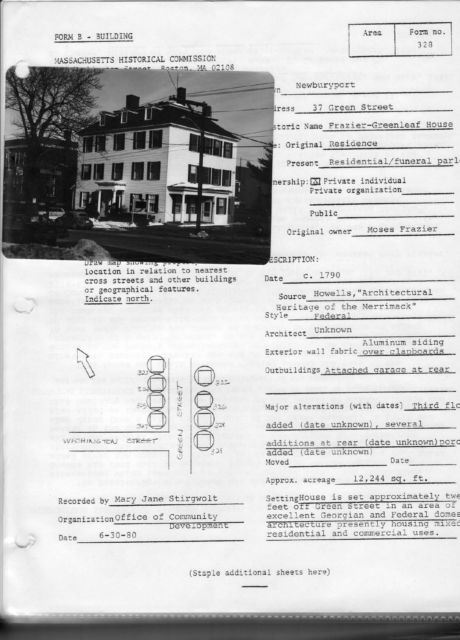## FORM B - BUILDING

MASSACHUSETTS HISTORICAL COMMISSION mear Roston, MA 02108 Draw map snowing location in relation to nearest cross streets and other buildings or geographical features. Indicate north.  $\mathbb{R}$  $122$ STREET  $\mathcal{F}_{\lambda}$ GREEN WASHINGTON STREET  $229$ Recorded by Mary Jane Stirgwolt Organization Office of Community<br>Development Date  $6-30-80$ (Staple additional sheets here) **SERE DIE PERSONAL PROPIE DE CARA** 

| Newburyport<br>m                                                                                                     |
|----------------------------------------------------------------------------------------------------------------------|
| iress 37 Green Street                                                                                                |
| storic Name Frazier-Greenleaf House                                                                                  |
| e: Original Residence                                                                                                |
| Present Residential/funeral parl-                                                                                    |
| nership: X Private individual<br>Private organization                                                                |
| Public                                                                                                               |
| Moses Frazier<br>Original owner                                                                                      |
| ESCRIPTION:                                                                                                          |
| c. 1790<br>Date                                                                                                      |
| Source Howells, "Architectural                                                                                       |
| Heritage of the Merrimack"<br>Style Federal                                                                          |
| Architect Unknown                                                                                                    |
| Aluminum siding<br>Exterior wall fabric over clapboards                                                              |
| Outbuildings Attached garage at rear                                                                                 |
| Major alterations (with dates) Third flo                                                                             |
| added (date unknown), several                                                                                        |
| additions at rear (date unknown) porc<br>added (date unknown)<br>Moved                                               |
| Date                                                                                                                 |
| Approx. acreage 12,244 sq. ft.                                                                                       |
| SettingHouse is set approximately twe<br>feet off Green Street in an area of<br>excellent Georgian and Federal domes |
| architecture presently housing mixed<br>residential and commercial uses.                                             |